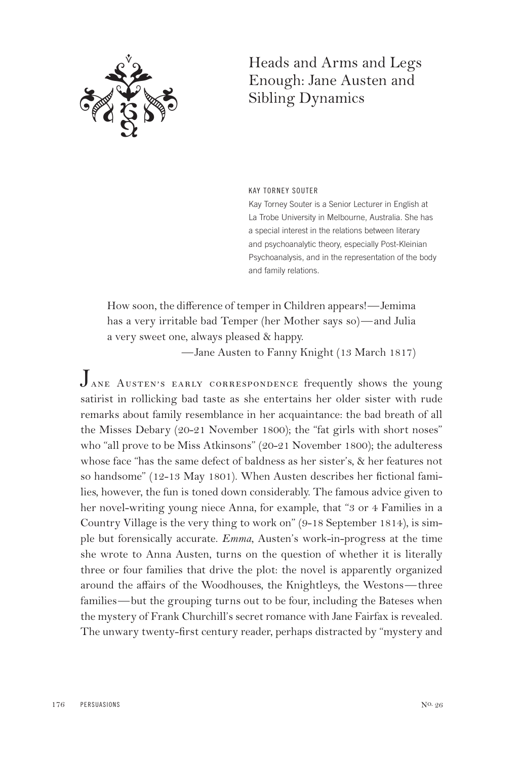

## Heads and Arms and Legs Enough: Jane Austen and Sibling Dynamics

KAY TORNEY SOUTER

Kay Torney Souter is a Senior Lecturer in English at La Trobe University in Melbourne, Australia. She has a special interest in the relations between literary and psychoanalytic theory, especially Post-Kleinian Psychoanalysis, and in the representation of the body and family relations.

How soon, the difference of temper in Children appears!—Jemima has a very irritable bad Temper (her Mother says so)—and Julia a very sweet one, always pleased & happy.

—Jane Austen to Fanny Knight (13 March 1817)

Jane Austen's early correspondence frequently shows the young satirist in rollicking bad taste as she entertains her older sister with rude remarks about family resemblance in her acquaintance: the bad breath of all the Misses Debary (20-21 November 1800); the "fat girls with short noses" who "all prove to be Miss Atkinsons" (20-21 November 1800); the adulteress whose face "has the same defect of baldness as her sister's, & her features not so handsome" (12-13 May 1801). When Austen describes her fictional families, however, the fun is toned down considerably. The famous advice given to her novel-writing young niece Anna, for example, that "3 or 4 Families in a Country Village is the very thing to work on" (9-18 September 1814), is simple but forensically accurate. *Emma*, Austen's work-in-progress at the time she wrote to Anna Austen, turns on the question of whether it is literally three or four families that drive the plot: the novel is apparently organized around the affairs of the Woodhouses, the Knightleys, the Westons—three families—but the grouping turns out to be four, including the Bateses when the mystery of Frank Churchill's secret romance with Jane Fairfax is revealed. The unwary twenty-first century reader, perhaps distracted by "mystery and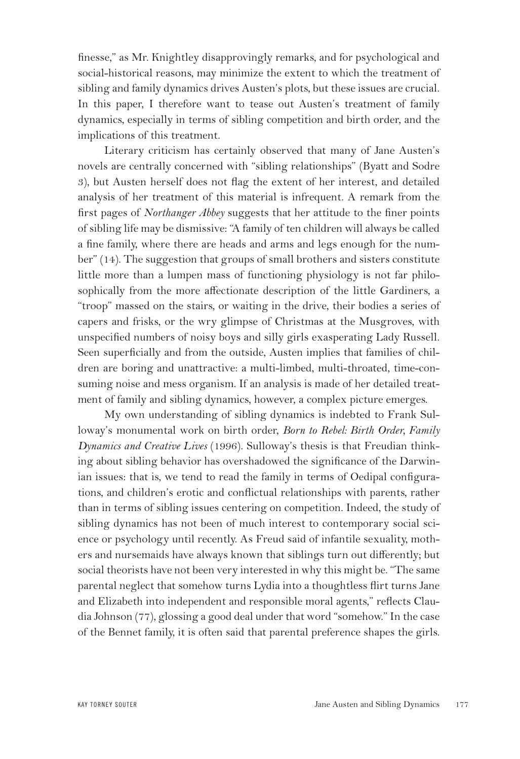finesse," as Mr. Knightley disapprovingly remarks, and for psychological and social-historical reasons, may minimize the extent to which the treatment of sibling and family dynamics drives Austen's plots, but these issues are crucial. In this paper, I therefore want to tease out Austen's treatment of family dynamics, especially in terms of sibling competition and birth order, and the implications of this treatment.

Literary criticism has certainly observed that many of Jane Austen's novels are centrally concerned with "sibling relationships" (Byatt and Sodre 3), but Austen herself does not flag the extent of her interest, and detailed analysis of her treatment of this material is infrequent. A remark from the first pages of *Northanger Abbey* suggests that her attitude to the finer points of sibling life may be dismissive: "A family of ten children will always be called a fine family, where there are heads and arms and legs enough for the number" (14). The suggestion that groups of small brothers and sisters constitute little more than a lumpen mass of functioning physiology is not far philosophically from the more affectionate description of the little Gardiners, a "troop" massed on the stairs, or waiting in the drive, their bodies a series of capers and frisks, or the wry glimpse of Christmas at the Musgroves, with unspecified numbers of noisy boys and silly girls exasperating Lady Russell. Seen superficially and from the outside, Austen implies that families of children are boring and unattractive: a multi-limbed, multi-throated, time-consuming noise and mess organism. If an analysis is made of her detailed treatment of family and sibling dynamics, however, a complex picture emerges.

My own understanding of sibling dynamics is indebted to Frank Sulloway's monumental work on birth order, *Born to Rebel: Birth Order, Family Dynamics and Creative Lives* (1996). Sulloway's thesis is that Freudian thinking about sibling behavior has overshadowed the significance of the Darwinian issues: that is, we tend to read the family in terms of Oedipal configurations, and children's erotic and conflictual relationships with parents, rather than in terms of sibling issues centering on competition. Indeed, the study of sibling dynamics has not been of much interest to contemporary social science or psychology until recently. As Freud said of infantile sexuality, mothers and nursemaids have always known that siblings turn out differently; but social theorists have not been very interested in why this might be. "The same parental neglect that somehow turns Lydia into a thoughtless flirt turns Jane and Elizabeth into independent and responsible moral agents," reflects Claudia Johnson (77), glossing a good deal under that word "somehow." In the case of the Bennet family, it is often said that parental preference shapes the girls.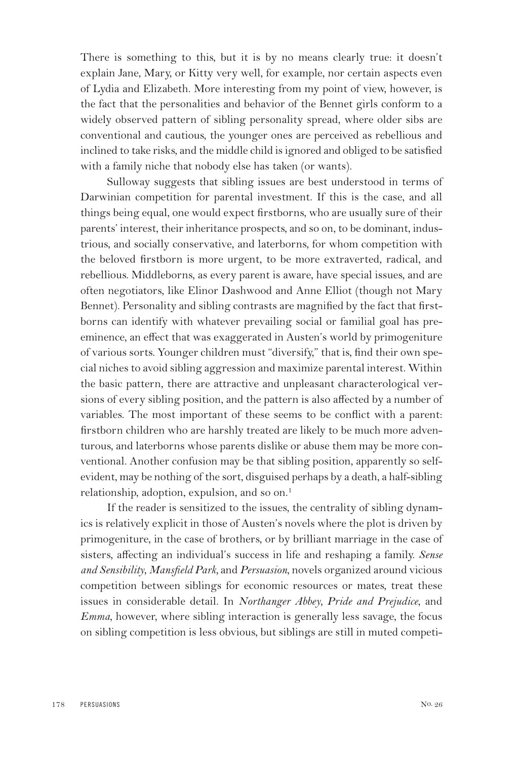There is something to this, but it is by no means clearly true: it doesn't explain Jane, Mary, or Kitty very well, for example, nor certain aspects even of Lydia and Elizabeth. More interesting from my point of view, however, is the fact that the personalities and behavior of the Bennet girls conform to a widely observed pattern of sibling personality spread, where older sibs are conventional and cautious, the younger ones are perceived as rebellious and inclined to take risks, and the middle child is ignored and obliged to be satisfied with a family niche that nobody else has taken (or wants).

Sulloway suggests that sibling issues are best understood in terms of Darwinian competition for parental investment. If this is the case, and all things being equal, one would expect firstborns, who are usually sure of their parents' interest, their inheritance prospects, and so on, to be dominant, industrious, and socially conservative, and laterborns, for whom competition with the beloved firstborn is more urgent, to be more extraverted, radical, and rebellious. Middleborns, as every parent is aware, have special issues, and are often negotiators, like Elinor Dashwood and Anne Elliot (though not Mary Bennet). Personality and sibling contrasts are magnified by the fact that firstborns can identify with whatever prevailing social or familial goal has preeminence, an effect that was exaggerated in Austen's world by primogeniture of various sorts. Younger children must "diversify," that is, find their own special niches to avoid sibling aggression and maximize parental interest. Within the basic pattern, there are attractive and unpleasant characterological versions of every sibling position, and the pattern is also affected by a number of variables. The most important of these seems to be conflict with a parent: firstborn children who are harshly treated are likely to be much more adventurous, and laterborns whose parents dislike or abuse them may be more conventional. Another confusion may be that sibling position, apparently so selfevident, may be nothing of the sort, disguised perhaps by a death, a half-sibling relationship, adoption, expulsion, and so on.<sup>1</sup>

If the reader is sensitized to the issues, the centrality of sibling dynamics is relatively explicit in those of Austen's novels where the plot is driven by primogeniture, in the case of brothers, or by brilliant marriage in the case of sisters, affecting an individual's success in life and reshaping a family. *Sense and Sensibility*, *Mansfield Park,* and *Persuasion*, novels organized around vicious competition between siblings for economic resources or mates, treat these issues in considerable detail. In *Northanger Abbey, Pride and Prejudice*, and *Emma*, however, where sibling interaction is generally less savage, the focus on sibling competition is less obvious, but siblings are still in muted competi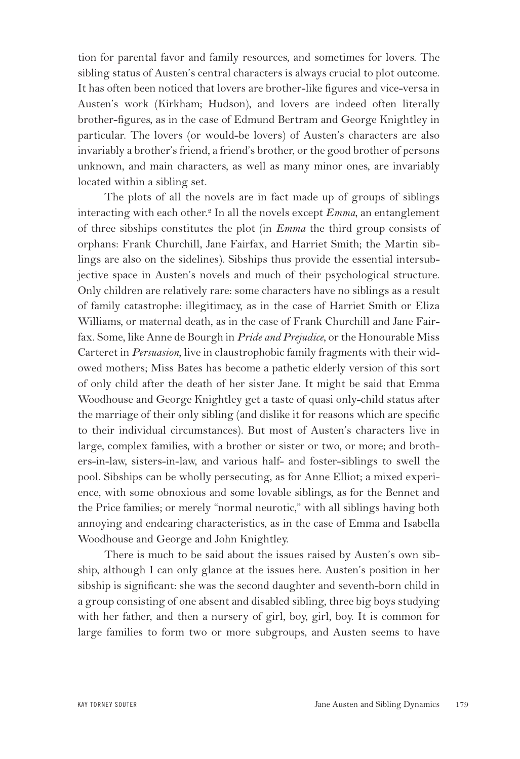tion for parental favor and family resources, and sometimes for lovers. The sibling status of Austen's central characters is always crucial to plot outcome. It has often been noticed that lovers are brother-like figures and vice-versa in Austen's work (Kirkham; Hudson), and lovers are indeed often literally brother-figures, as in the case of Edmund Bertram and George Knightley in particular. The lovers (or would-be lovers) of Austen's characters are also invariably a brother's friend, a friend's brother, or the good brother of persons unknown, and main characters, as well as many minor ones, are invariably located within a sibling set.

The plots of all the novels are in fact made up of groups of siblings interacting with each other.2 In all the novels except *Emma*, an entanglement of three sibships constitutes the plot (in *Emma* the third group consists of orphans: Frank Churchill, Jane Fairfax, and Harriet Smith; the Martin siblings are also on the sidelines). Sibships thus provide the essential intersubjective space in Austen's novels and much of their psychological structure. Only children are relatively rare: some characters have no siblings as a result of family catastrophe: illegitimacy, as in the case of Harriet Smith or Eliza Williams, or maternal death, as in the case of Frank Churchill and Jane Fairfax. Some, like Anne de Bourgh in *Pride and Prejudice*, or the Honourable Miss Carteret in *Persuasion*, live in claustrophobic family fragments with their widowed mothers; Miss Bates has become a pathetic elderly version of this sort of only child after the death of her sister Jane. It might be said that Emma Woodhouse and George Knightley get a taste of quasi only-child status after the marriage of their only sibling (and dislike it for reasons which are specific to their individual circumstances). But most of Austen's characters live in large, complex families, with a brother or sister or two, or more; and brothers-in-law, sisters-in-law, and various half- and foster-siblings to swell the pool. Sibships can be wholly persecuting, as for Anne Elliot; a mixed experience, with some obnoxious and some lovable siblings, as for the Bennet and the Price families; or merely "normal neurotic," with all siblings having both annoying and endearing characteristics, as in the case of Emma and Isabella Woodhouse and George and John Knightley.

There is much to be said about the issues raised by Austen's own sibship, although I can only glance at the issues here. Austen's position in her sibship is significant: she was the second daughter and seventh-born child in a group consisting of one absent and disabled sibling, three big boys studying with her father, and then a nursery of girl, boy, girl, boy. It is common for large families to form two or more subgroups, and Austen seems to have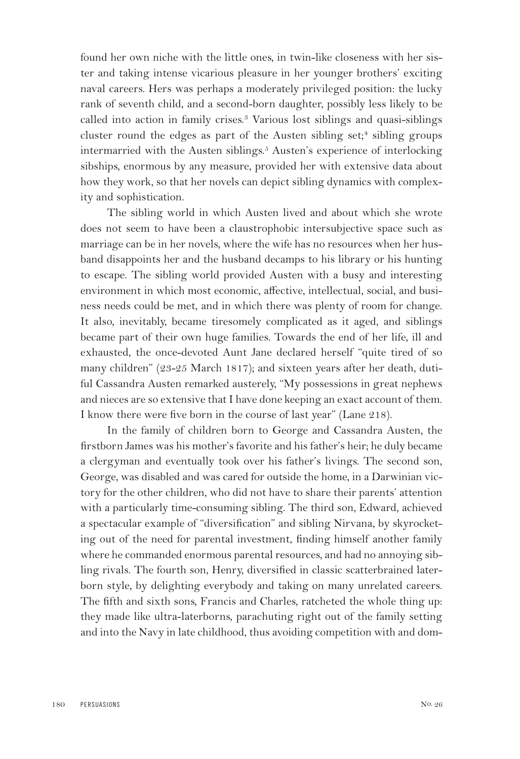found her own niche with the little ones, in twin-like closeness with her sister and taking intense vicarious pleasure in her younger brothers' exciting naval careers. Hers was perhaps a moderately privileged position: the lucky rank of seventh child, and a second-born daughter, possibly less likely to be called into action in family crises.3 Various lost siblings and quasi-siblings cluster round the edges as part of the Austen sibling set;<sup>4</sup> sibling groups intermarried with the Austen siblings.<sup>5</sup> Austen's experience of interlocking sibships, enormous by any measure, provided her with extensive data about how they work, so that her novels can depict sibling dynamics with complexity and sophistication.

The sibling world in which Austen lived and about which she wrote does not seem to have been a claustrophobic intersubjective space such as marriage can be in her novels, where the wife has no resources when her husband disappoints her and the husband decamps to his library or his hunting to escape. The sibling world provided Austen with a busy and interesting environment in which most economic, affective, intellectual, social, and business needs could be met, and in which there was plenty of room for change. It also, inevitably, became tiresomely complicated as it aged, and siblings became part of their own huge families. Towards the end of her life, ill and exhausted, the once-devoted Aunt Jane declared herself "quite tired of so many children" (23-25 March 1817); and sixteen years after her death, dutiful Cassandra Austen remarked austerely, "My possessions in great nephews and nieces are so extensive that I have done keeping an exact account of them. I know there were five born in the course of last year" (Lane 218).

In the family of children born to George and Cassandra Austen, the firstborn James was his mother's favorite and his father's heir; he duly became a clergyman and eventually took over his father's livings. The second son, George, was disabled and was cared for outside the home, in a Darwinian victory for the other children, who did not have to share their parents' attention with a particularly time-consuming sibling. The third son, Edward, achieved a spectacular example of "diversification" and sibling Nirvana, by skyrocketing out of the need for parental investment, finding himself another family where he commanded enormous parental resources, and had no annoying sibling rivals. The fourth son, Henry, diversified in classic scatterbrained laterborn style, by delighting everybody and taking on many unrelated careers. The fifth and sixth sons, Francis and Charles, ratcheted the whole thing up: they made like ultra-laterborns, parachuting right out of the family setting and into the Navy in late childhood, thus avoiding competition with and dom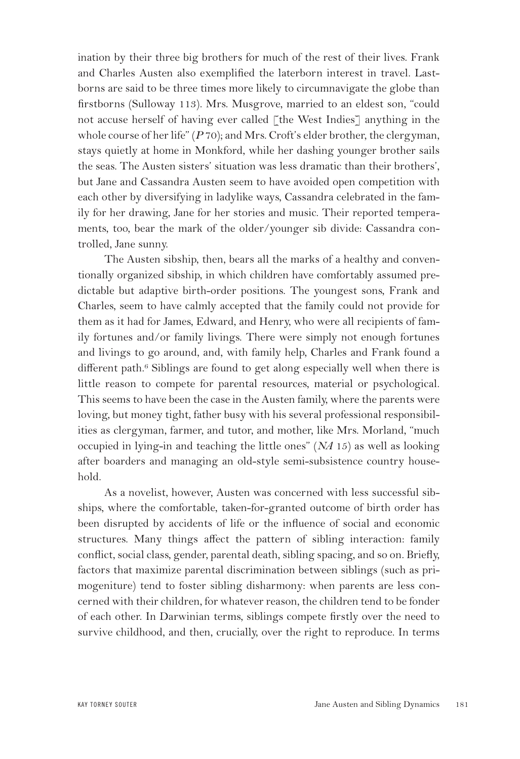ination by their three big brothers for much of the rest of their lives. Frank and Charles Austen also exemplified the laterborn interest in travel. Lastborns are said to be three times more likely to circumnavigate the globe than firstborns (Sulloway 113). Mrs. Musgrove, married to an eldest son, "could not accuse herself of having ever called [the West Indies] anything in the whole course of her life" (*P* 70); and Mrs. Croft's elder brother, the clergyman, stays quietly at home in Monkford, while her dashing younger brother sails the seas. The Austen sisters' situation was less dramatic than their brothers', but Jane and Cassandra Austen seem to have avoided open competition with each other by diversifying in ladylike ways, Cassandra celebrated in the family for her drawing, Jane for her stories and music. Their reported temperaments, too, bear the mark of the older/younger sib divide: Cassandra controlled, Jane sunny.

The Austen sibship, then, bears all the marks of a healthy and conventionally organized sibship, in which children have comfortably assumed predictable but adaptive birth-order positions. The youngest sons, Frank and Charles, seem to have calmly accepted that the family could not provide for them as it had for James, Edward, and Henry, who were all recipients of family fortunes and/or family livings. There were simply not enough fortunes and livings to go around, and, with family help, Charles and Frank found a different path.<sup>6</sup> Siblings are found to get along especially well when there is little reason to compete for parental resources, material or psychological. This seems to have been the case in the Austen family, where the parents were loving, but money tight, father busy with his several professional responsibilities as clergyman, farmer, and tutor, and mother, like Mrs. Morland, "much occupied in lying-in and teaching the little ones" (*NA* 15) as well as looking after boarders and managing an old-style semi-subsistence country household.

As a novelist, however, Austen was concerned with less successful sibships, where the comfortable, taken-for-granted outcome of birth order has been disrupted by accidents of life or the influence of social and economic structures. Many things affect the pattern of sibling interaction: family conflict, social class, gender, parental death, sibling spacing, and so on. Briefly, factors that maximize parental discrimination between siblings (such as primogeniture) tend to foster sibling disharmony: when parents are less concerned with their children, for whatever reason, the children tend to be fonder of each other. In Darwinian terms, siblings compete firstly over the need to survive childhood, and then, crucially, over the right to reproduce. In terms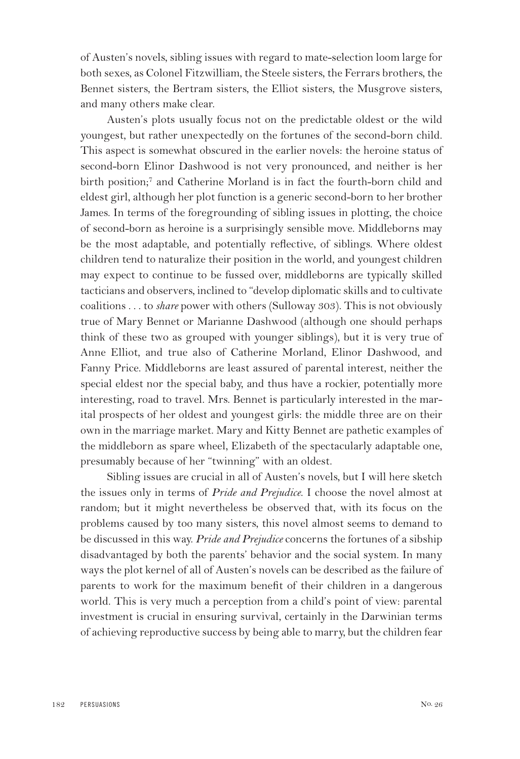of Austen's novels, sibling issues with regard to mate-selection loom large for both sexes, as Colonel Fitzwilliam, the Steele sisters, the Ferrars brothers, the Bennet sisters, the Bertram sisters, the Elliot sisters, the Musgrove sisters, and many others make clear.

Austen's plots usually focus not on the predictable oldest or the wild youngest, but rather unexpectedly on the fortunes of the second-born child. This aspect is somewhat obscured in the earlier novels: the heroine status of second-born Elinor Dashwood is not very pronounced, and neither is her birth position;7 and Catherine Morland is in fact the fourth-born child and eldest girl, although her plot function is a generic second-born to her brother James. In terms of the foregrounding of sibling issues in plotting, the choice of second-born as heroine is a surprisingly sensible move. Middleborns may be the most adaptable, and potentially reflective, of siblings. Where oldest children tend to naturalize their position in the world, and youngest children may expect to continue to be fussed over, middleborns are typically skilled tacticians and observers, inclined to "develop diplomatic skills and to cultivate coalitions . . . to *share* power with others (Sulloway 303). This is not obviously true of Mary Bennet or Marianne Dashwood (although one should perhaps think of these two as grouped with younger siblings), but it is very true of Anne Elliot, and true also of Catherine Morland, Elinor Dashwood, and Fanny Price. Middleborns are least assured of parental interest, neither the special eldest nor the special baby, and thus have a rockier, potentially more interesting, road to travel. Mrs. Bennet is particularly interested in the marital prospects of her oldest and youngest girls: the middle three are on their own in the marriage market. Mary and Kitty Bennet are pathetic examples of the middleborn as spare wheel, Elizabeth of the spectacularly adaptable one, presumably because of her "twinning" with an oldest.

Sibling issues are crucial in all of Austen's novels, but I will here sketch the issues only in terms of *Pride and Prejudice*. I choose the novel almost at random; but it might nevertheless be observed that, with its focus on the problems caused by too many sisters, this novel almost seems to demand to be discussed in this way. *Pride and Prejudice* concerns the fortunes of a sibship disadvantaged by both the parents' behavior and the social system. In many ways the plot kernel of all of Austen's novels can be described as the failure of parents to work for the maximum benefit of their children in a dangerous world. This is very much a perception from a child's point of view: parental investment is crucial in ensuring survival, certainly in the Darwinian terms of achieving reproductive success by being able to marry, but the children fear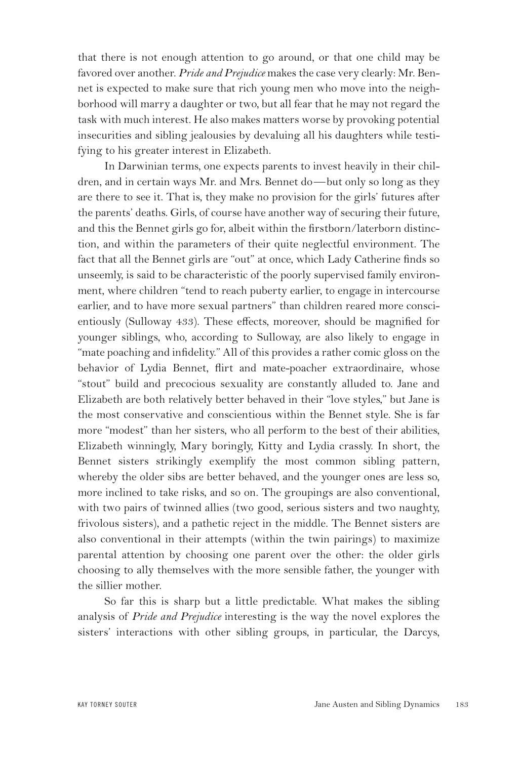that there is not enough attention to go around, or that one child may be favored over another. *Pride and Prejudice* makes the case very clearly: Mr. Bennet is expected to make sure that rich young men who move into the neighborhood will marry a daughter or two, but all fear that he may not regard the task with much interest. He also makes matters worse by provoking potential insecurities and sibling jealousies by devaluing all his daughters while testifying to his greater interest in Elizabeth.

In Darwinian terms, one expects parents to invest heavily in their children, and in certain ways Mr. and Mrs. Bennet do—but only so long as they are there to see it. That is, they make no provision for the girls' futures after the parents' deaths. Girls, of course have another way of securing their future, and this the Bennet girls go for, albeit within the firstborn/laterborn distinction, and within the parameters of their quite neglectful environment. The fact that all the Bennet girls are "out" at once, which Lady Catherine finds so unseemly, is said to be characteristic of the poorly supervised family environment, where children "tend to reach puberty earlier, to engage in intercourse earlier, and to have more sexual partners" than children reared more conscientiously (Sulloway 433). These effects, moreover, should be magnified for younger siblings, who, according to Sulloway, are also likely to engage in "mate poaching and infidelity." All of this provides a rather comic gloss on the behavior of Lydia Bennet, flirt and mate-poacher extraordinaire, whose "stout" build and precocious sexuality are constantly alluded to. Jane and Elizabeth are both relatively better behaved in their "love styles," but Jane is the most conservative and conscientious within the Bennet style. She is far more "modest" than her sisters, who all perform to the best of their abilities, Elizabeth winningly, Mary boringly, Kitty and Lydia crassly. In short, the Bennet sisters strikingly exemplify the most common sibling pattern, whereby the older sibs are better behaved, and the younger ones are less so, more inclined to take risks, and so on. The groupings are also conventional, with two pairs of twinned allies (two good, serious sisters and two naughty, frivolous sisters), and a pathetic reject in the middle. The Bennet sisters are also conventional in their attempts (within the twin pairings) to maximize parental attention by choosing one parent over the other: the older girls choosing to ally themselves with the more sensible father, the younger with the sillier mother.

So far this is sharp but a little predictable. What makes the sibling analysis of *Pride and Prejudice* interesting is the way the novel explores the sisters' interactions with other sibling groups, in particular, the Darcys,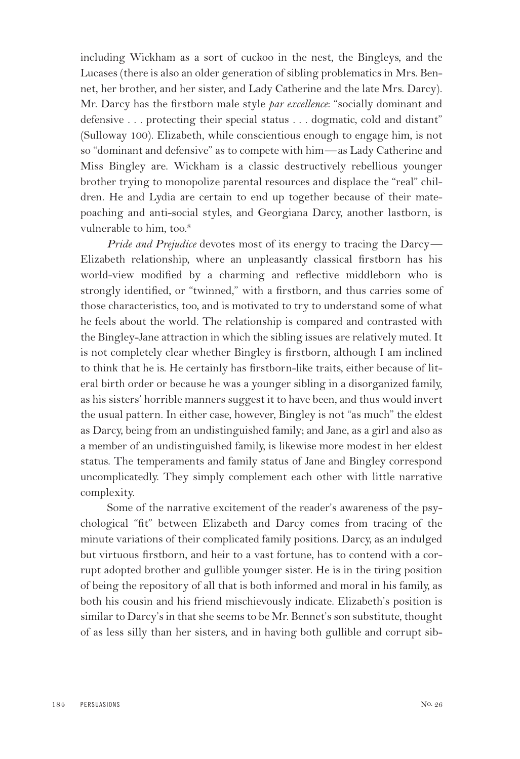including Wickham as a sort of cuckoo in the nest, the Bingleys, and the Lucases (there is also an older generation of sibling problematics in Mrs. Bennet, her brother, and her sister, and Lady Catherine and the late Mrs. Darcy). Mr. Darcy has the firstborn male style *par excellence*: "socially dominant and defensive . . . protecting their special status . . . dogmatic, cold and distant" (Sulloway 100). Elizabeth, while conscientious enough to engage him, is not so "dominant and defensive" as to compete with him—as Lady Catherine and Miss Bingley are. Wickham is a classic destructively rebellious younger brother trying to monopolize parental resources and displace the "real" children. He and Lydia are certain to end up together because of their matepoaching and anti-social styles, and Georgiana Darcy, another lastborn, is vulnerable to him, too.<sup>8</sup>

*Pride and Prejudice* devotes most of its energy to tracing the Darcy— Elizabeth relationship, where an unpleasantly classical firstborn has his world-view modified by a charming and reflective middleborn who is strongly identified, or "twinned," with a firstborn, and thus carries some of those characteristics, too, and is motivated to try to understand some of what he feels about the world. The relationship is compared and contrasted with the Bingley-Jane attraction in which the sibling issues are relatively muted. It is not completely clear whether Bingley is firstborn, although I am inclined to think that he is. He certainly has firstborn-like traits, either because of literal birth order or because he was a younger sibling in a disorganized family, as his sisters' horrible manners suggest it to have been, and thus would invert the usual pattern. In either case, however, Bingley is not "as much" the eldest as Darcy, being from an undistinguished family; and Jane, as a girl and also as a member of an undistinguished family, is likewise more modest in her eldest status. The temperaments and family status of Jane and Bingley correspond uncomplicatedly. They simply complement each other with little narrative complexity.

Some of the narrative excitement of the reader's awareness of the psychological "fit" between Elizabeth and Darcy comes from tracing of the minute variations of their complicated family positions. Darcy, as an indulged but virtuous firstborn, and heir to a vast fortune, has to contend with a corrupt adopted brother and gullible younger sister. He is in the tiring position of being the repository of all that is both informed and moral in his family, as both his cousin and his friend mischievously indicate. Elizabeth's position is similar to Darcy's in that she seems to be Mr. Bennet's son substitute, thought of as less silly than her sisters, and in having both gullible and corrupt sib-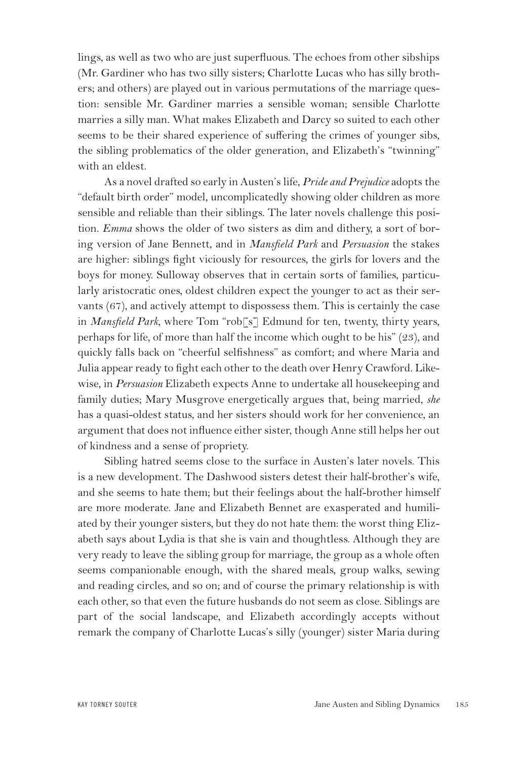lings, as well as two who are just superfluous. The echoes from other sibships (Mr. Gardiner who has two silly sisters; Charlotte Lucas who has silly brothers; and others) are played out in various permutations of the marriage question: sensible Mr. Gardiner marries a sensible woman; sensible Charlotte marries a silly man. What makes Elizabeth and Darcy so suited to each other seems to be their shared experience of suffering the crimes of younger sibs, the sibling problematics of the older generation, and Elizabeth's "twinning" with an eldest.

As a novel drafted so early in Austen's life, *Pride and Prejudice* adopts the "default birth order" model, uncomplicatedly showing older children as more sensible and reliable than their siblings. The later novels challenge this position. *Emma* shows the older of two sisters as dim and dithery, a sort of boring version of Jane Bennett, and in *Mansfield Park* and *Persuasion* the stakes are higher: siblings fight viciously for resources, the girls for lovers and the boys for money. Sulloway observes that in certain sorts of families, particularly aristocratic ones, oldest children expect the younger to act as their servants (67), and actively attempt to dispossess them. This is certainly the case in *Mansfield Park*, where Tom "rob[s] Edmund for ten, twenty, thirty years, perhaps for life, of more than half the income which ought to be his" (23), and quickly falls back on "cheerful selfishness" as comfort; and where Maria and Julia appear ready to fight each other to the death over Henry Crawford. Likewise, in *Persuasion* Elizabeth expects Anne to undertake all housekeeping and family duties; Mary Musgrove energetically argues that, being married, *she* has a quasi-oldest status, and her sisters should work for her convenience, an argument that does not influence either sister, though Anne still helps her out of kindness and a sense of propriety.

Sibling hatred seems close to the surface in Austen's later novels. This is a new development. The Dashwood sisters detest their half-brother's wife, and she seems to hate them; but their feelings about the half-brother himself are more moderate. Jane and Elizabeth Bennet are exasperated and humiliated by their younger sisters, but they do not hate them: the worst thing Elizabeth says about Lydia is that she is vain and thoughtless. Although they are very ready to leave the sibling group for marriage, the group as a whole often seems companionable enough, with the shared meals, group walks, sewing and reading circles, and so on; and of course the primary relationship is with each other, so that even the future husbands do not seem as close. Siblings are part of the social landscape, and Elizabeth accordingly accepts without remark the company of Charlotte Lucas's silly (younger) sister Maria during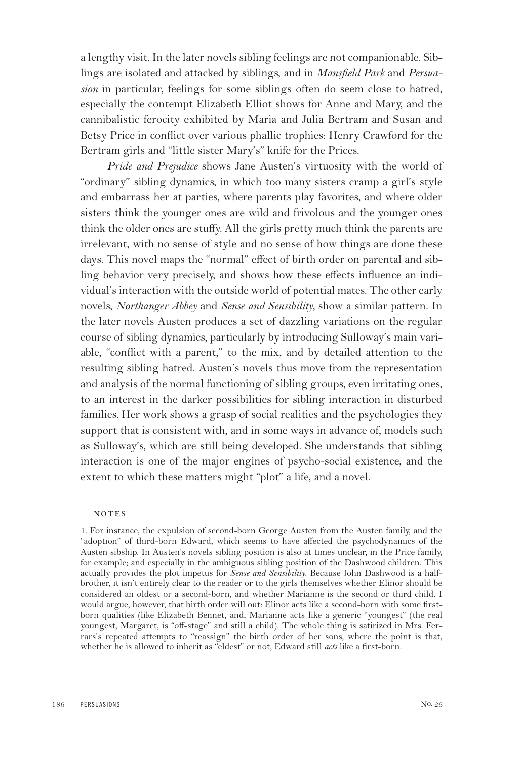a lengthy visit. In the later novels sibling feelings are not companionable. Siblings are isolated and attacked by siblings, and in *Mansfield Park* and *Persuasion* in particular, feelings for some siblings often do seem close to hatred, especially the contempt Elizabeth Elliot shows for Anne and Mary, and the cannibalistic ferocity exhibited by Maria and Julia Bertram and Susan and Betsy Price in conflict over various phallic trophies: Henry Crawford for the Bertram girls and "little sister Mary's" knife for the Prices.

*Pride and Prejudice* shows Jane Austen's virtuosity with the world of "ordinary" sibling dynamics, in which too many sisters cramp a girl's style and embarrass her at parties, where parents play favorites, and where older sisters think the younger ones are wild and frivolous and the younger ones think the older ones are stuffy. All the girls pretty much think the parents are irrelevant, with no sense of style and no sense of how things are done these days. This novel maps the "normal" effect of birth order on parental and sibling behavior very precisely, and shows how these effects influence an individual's interaction with the outside world of potential mates. The other early novels, *Northanger Abbey* and *Sense and Sensibility,* show a similar pattern. In the later novels Austen produces a set of dazzling variations on the regular course of sibling dynamics, particularly by introducing Sulloway's main variable, "conflict with a parent," to the mix, and by detailed attention to the resulting sibling hatred. Austen's novels thus move from the representation and analysis of the normal functioning of sibling groups, even irritating ones, to an interest in the darker possibilities for sibling interaction in disturbed families. Her work shows a grasp of social realities and the psychologies they support that is consistent with, and in some ways in advance of, models such as Sulloway's, which are still being developed. She understands that sibling interaction is one of the major engines of psycho-social existence, and the extent to which these matters might "plot" a life, and a novel.

## **NOTES**

1. For instance, the expulsion of second-born George Austen from the Austen family, and the "adoption" of third-born Edward, which seems to have affected the psychodynamics of the Austen sibship. In Austen's novels sibling position is also at times unclear, in the Price family, for example; and especially in the ambiguous sibling position of the Dashwood children. This actually provides the plot impetus for *Sense and Sensibility*. Because John Dashwood is a halfbrother, it isn't entirely clear to the reader or to the girls themselves whether Elinor should be considered an oldest or a second-born, and whether Marianne is the second or third child. I would argue, however, that birth order will out: Elinor acts like a second-born with some firstborn qualities (like Elizabeth Bennet, and, Marianne acts like a generic "youngest" (the real youngest, Margaret, is "off-stage" and still a child). The whole thing is satirized in Mrs. Ferrars's repeated attempts to "reassign" the birth order of her sons, where the point is that, whether he is allowed to inherit as "eldest" or not, Edward still *acts* like a first-born.